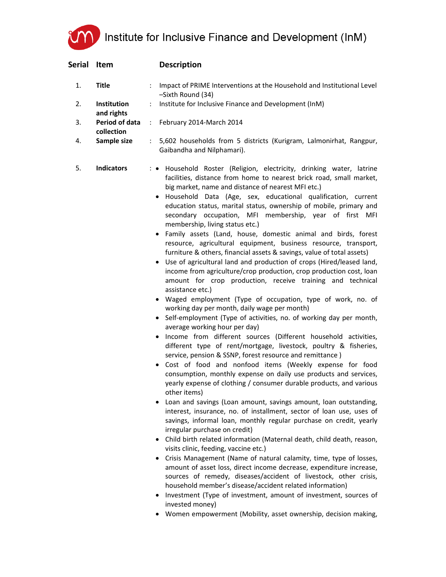Institute for Inclusive Finance and Development (InM)

| Serial | Item                         | <b>Description</b>                                                                                                                                                                                                                                                                                                                                                                                                                                                                                                                                                                                                                                                                                                                                                                                                                                                                                                                                                                                                                                                                                                                                                                                                                                                                                                                                                                                                                                                                                                                                                                                                                                                                                                                                                                                                                                                                                                                                                                                                                                                                                                                                                                                                                                                                     |
|--------|------------------------------|----------------------------------------------------------------------------------------------------------------------------------------------------------------------------------------------------------------------------------------------------------------------------------------------------------------------------------------------------------------------------------------------------------------------------------------------------------------------------------------------------------------------------------------------------------------------------------------------------------------------------------------------------------------------------------------------------------------------------------------------------------------------------------------------------------------------------------------------------------------------------------------------------------------------------------------------------------------------------------------------------------------------------------------------------------------------------------------------------------------------------------------------------------------------------------------------------------------------------------------------------------------------------------------------------------------------------------------------------------------------------------------------------------------------------------------------------------------------------------------------------------------------------------------------------------------------------------------------------------------------------------------------------------------------------------------------------------------------------------------------------------------------------------------------------------------------------------------------------------------------------------------------------------------------------------------------------------------------------------------------------------------------------------------------------------------------------------------------------------------------------------------------------------------------------------------------------------------------------------------------------------------------------------------|
| 1.     | <b>Title</b>                 | Impact of PRIME Interventions at the Household and Institutional Level<br>-Sixth Round (34)                                                                                                                                                                                                                                                                                                                                                                                                                                                                                                                                                                                                                                                                                                                                                                                                                                                                                                                                                                                                                                                                                                                                                                                                                                                                                                                                                                                                                                                                                                                                                                                                                                                                                                                                                                                                                                                                                                                                                                                                                                                                                                                                                                                            |
| 2.     | Institution<br>and rights    | Institute for Inclusive Finance and Development (InM)                                                                                                                                                                                                                                                                                                                                                                                                                                                                                                                                                                                                                                                                                                                                                                                                                                                                                                                                                                                                                                                                                                                                                                                                                                                                                                                                                                                                                                                                                                                                                                                                                                                                                                                                                                                                                                                                                                                                                                                                                                                                                                                                                                                                                                  |
| 3.     | Period of data<br>collection | February 2014-March 2014<br>t.                                                                                                                                                                                                                                                                                                                                                                                                                                                                                                                                                                                                                                                                                                                                                                                                                                                                                                                                                                                                                                                                                                                                                                                                                                                                                                                                                                                                                                                                                                                                                                                                                                                                                                                                                                                                                                                                                                                                                                                                                                                                                                                                                                                                                                                         |
| 4.     | Sample size                  | 5,602 households from 5 districts (Kurigram, Lalmonirhat, Rangpur,<br>$\mathbb{R}^{\mathbb{Z}}$<br>Gaibandha and Nilphamari).                                                                                                                                                                                                                                                                                                                                                                                                                                                                                                                                                                                                                                                                                                                                                                                                                                                                                                                                                                                                                                                                                                                                                                                                                                                                                                                                                                                                                                                                                                                                                                                                                                                                                                                                                                                                                                                                                                                                                                                                                                                                                                                                                          |
| 5.     | <b>Indicators</b>            | : • Household Roster (Religion, electricity, drinking water, latrine<br>facilities, distance from home to nearest brick road, small market,<br>big market, name and distance of nearest MFI etc.)<br>· Household Data (Age, sex, educational qualification, current<br>education status, marital status, ownership of mobile, primary and<br>secondary occupation, MFI membership, year of first MFI<br>membership, living status etc.)<br>· Family assets (Land, house, domestic animal and birds, forest<br>resource, agricultural equipment, business resource, transport,<br>furniture & others, financial assets & savings, value of total assets)<br>Use of agricultural land and production of crops (Hired/leased land,<br>income from agriculture/crop production, crop production cost, loan<br>amount for crop production, receive training and technical<br>assistance etc.)<br>· Waged employment (Type of occupation, type of work, no. of<br>working day per month, daily wage per month)<br>• Self-employment (Type of activities, no. of working day per month,<br>average working hour per day)<br>Income from different sources (Different household activities,<br>different type of rent/mortgage, livestock, poultry & fisheries,<br>service, pension & SSNP, forest resource and remittance)<br>. Cost of food and nonfood items (Weekly expense for food<br>consumption, monthly expense on daily use products and services,<br>yearly expense of clothing / consumer durable products, and various<br>other items)<br>Loan and savings (Loan amount, savings amount, loan outstanding,<br>interest, insurance, no. of installment, sector of loan use, uses of<br>savings, informal loan, monthly regular purchase on credit, yearly<br>irregular purchase on credit)<br>• Child birth related information (Maternal death, child death, reason,<br>visits clinic, feeding, vaccine etc.)<br>Crisis Management (Name of natural calamity, time, type of losses,<br>amount of asset loss, direct income decrease, expenditure increase,<br>sources of remedy, diseases/accident of livestock, other crisis,<br>household member's disease/accident related information)<br>Investment (Type of investment, amount of investment, sources of<br>invested money) |

Women empowerment (Mobility, asset ownership, decision making,